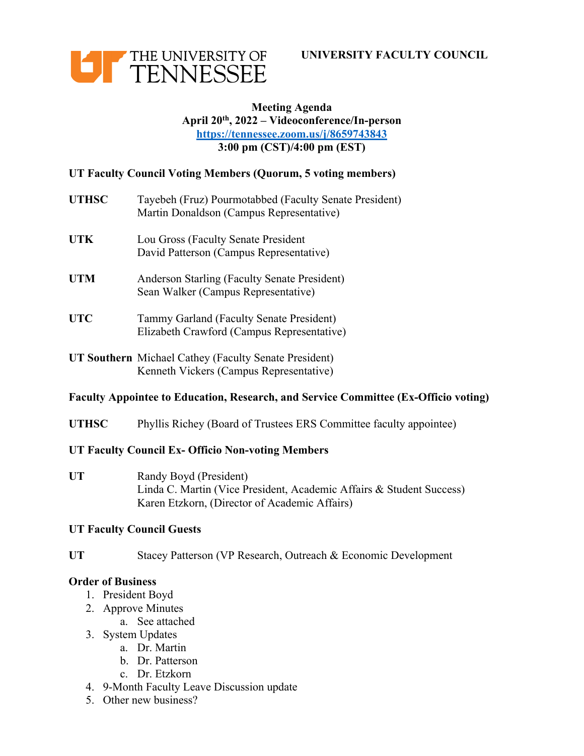



# **Meeting Agenda April 20th, 2022 – Videoconference/In-person https://tennessee.zoom.us/j/8659743843 3:00 pm (CST)/4:00 pm (EST)**

# **UT Faculty Council Voting Members (Quorum, 5 voting members)**

- **UTHSC** Tayebeh (Fruz) Pourmotabbed (Faculty Senate President) Martin Donaldson (Campus Representative)
- **UTK** Lou Gross (Faculty Senate President David Patterson (Campus Representative)
- **UTM** Anderson Starling (Faculty Senate President) Sean Walker (Campus Representative)
- **UTC** Tammy Garland (Faculty Senate President) Elizabeth Crawford (Campus Representative)
- **UT Southern** Michael Cathey (Faculty Senate President) Kenneth Vickers (Campus Representative)

# **Faculty Appointee to Education, Research, and Service Committee (Ex-Officio voting)**

**UTHSC** Phyllis Richey (Board of Trustees ERS Committee faculty appointee)

# **UT Faculty Council Ex- Officio Non-voting Members**

UT Randy Boyd (President) Linda C. Martin (Vice President, Academic Affairs & Student Success) Karen Etzkorn, (Director of Academic Affairs)

# **UT Faculty Council Guests**

**UT** Stacey Patterson (VP Research, Outreach & Economic Development

# **Order of Business**

- 1. President Boyd
- 2. Approve Minutes
	- a. See attached
- 3. System Updates
	- a. Dr. Martin
	- b. Dr. Patterson
	- c. Dr. Etzkorn
- 4. 9-Month Faculty Leave Discussion update
- 5. Other new business?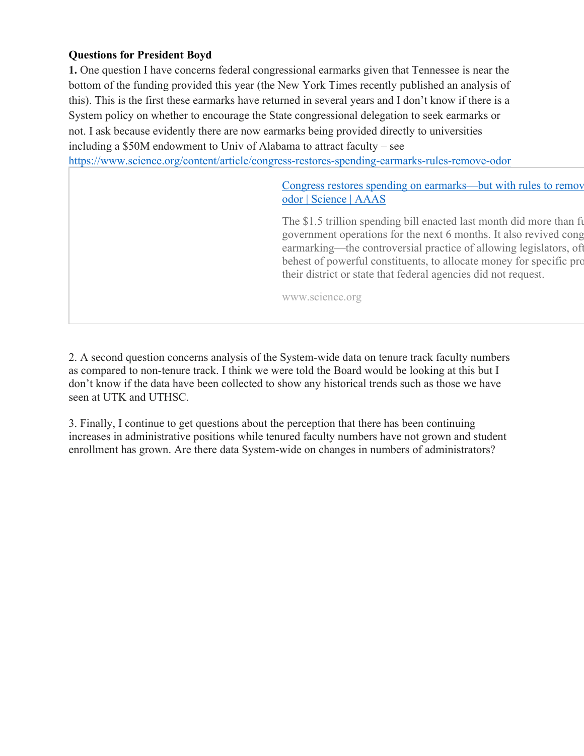# **Questions for President Boyd**

**1.** One question I have concerns federal congressional earmarks given that Tennessee is near the bottom of the funding provided this year (the New York Times recently published an analysis of this). This is the first these earmarks have returned in several years and I don't know if there is a System policy on whether to encourage the State congressional delegation to seek earmarks or not. I ask because evidently there are now earmarks being provided directly to universities including a \$50M endowment to Univ of Alabama to attract faculty – see https://www.science.org/content/article/congress-restores-spending-earmarks-rules-remove-odor

> Congress restores spending on earmarks—but with rules to remove odor | Science | AAAS

> The \$1.5 trillion spending bill enacted last month did more than fund U.S. government operations for the next 6 months. It also revived cong earmarking—the controversial practice of allowing legislators, of behest of powerful constituents, to allocate money for specific project their district or state that federal agencies did not request.

www.science.org

2. A second question concerns analysis of the System-wide data on tenure track faculty numbers as compared to non-tenure track. I think we were told the Board would be looking at this but I don't know if the data have been collected to show any historical trends such as those we have seen at UTK and UTHSC.

3. Finally, I continue to get questions about the perception that there has been continuing increases in administrative positions while tenured faculty numbers have not grown and student enrollment has grown. Are there data System-wide on changes in numbers of administrators?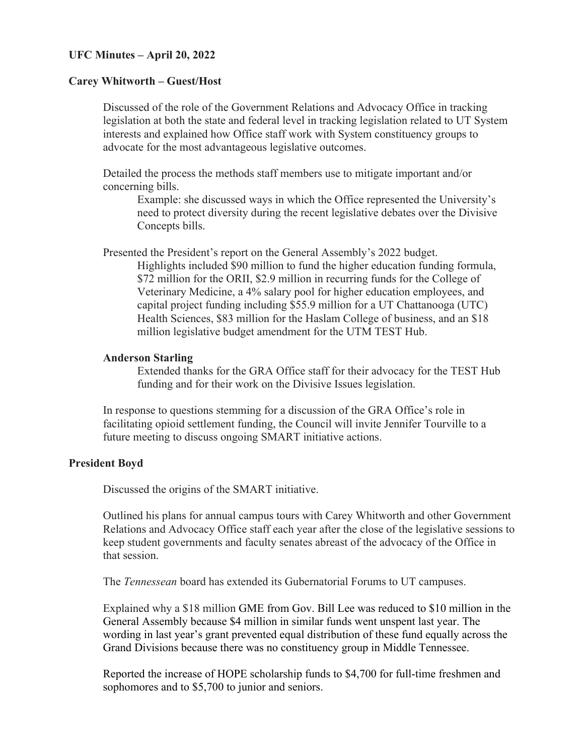### **UFC Minutes – April 20, 2022**

#### **Carey Whitworth – Guest/Host**

Discussed of the role of the Government Relations and Advocacy Office in tracking legislation at both the state and federal level in tracking legislation related to UT System interests and explained how Office staff work with System constituency groups to advocate for the most advantageous legislative outcomes.

Detailed the process the methods staff members use to mitigate important and/or concerning bills.

Example: she discussed ways in which the Office represented the University's need to protect diversity during the recent legislative debates over the Divisive Concepts bills.

Presented the President's report on the General Assembly's 2022 budget.

Highlights included \$90 million to fund the higher education funding formula, \$72 million for the ORII, \$2.9 million in recurring funds for the College of Veterinary Medicine, a 4% salary pool for higher education employees, and capital project funding including \$55.9 million for a UT Chattanooga (UTC) Health Sciences, \$83 million for the Haslam College of business, and an \$18 million legislative budget amendment for the UTM TEST Hub.

## **Anderson Starling**

Extended thanks for the GRA Office staff for their advocacy for the TEST Hub funding and for their work on the Divisive Issues legislation.

In response to questions stemming for a discussion of the GRA Office's role in facilitating opioid settlement funding, the Council will invite Jennifer Tourville to a future meeting to discuss ongoing SMART initiative actions.

#### **President Boyd**

Discussed the origins of the SMART initiative.

Outlined his plans for annual campus tours with Carey Whitworth and other Government Relations and Advocacy Office staff each year after the close of the legislative sessions to keep student governments and faculty senates abreast of the advocacy of the Office in that session.

The *Tennessean* board has extended its Gubernatorial Forums to UT campuses.

Explained why a \$18 million GME from Gov. Bill Lee was reduced to \$10 million in the General Assembly because \$4 million in similar funds went unspent last year. The wording in last year's grant prevented equal distribution of these fund equally across the Grand Divisions because there was no constituency group in Middle Tennessee.

Reported the increase of HOPE scholarship funds to \$4,700 for full-time freshmen and sophomores and to \$5,700 to junior and seniors.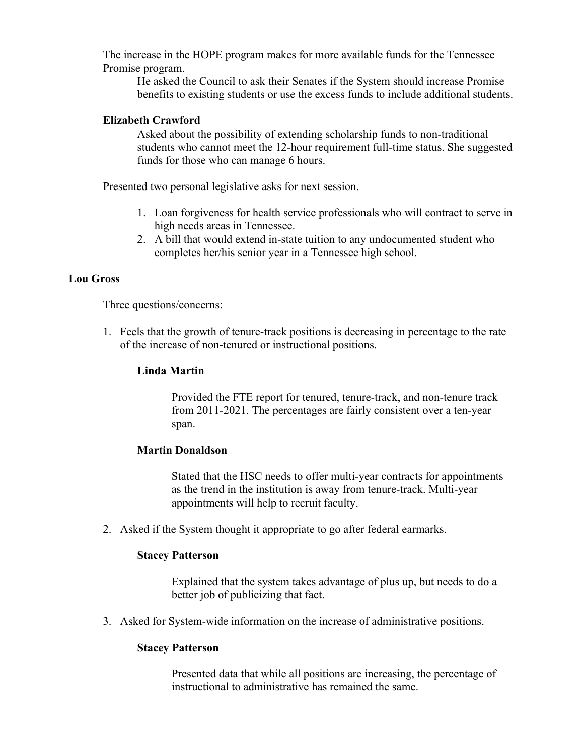The increase in the HOPE program makes for more available funds for the Tennessee Promise program.

He asked the Council to ask their Senates if the System should increase Promise benefits to existing students or use the excess funds to include additional students.

# **Elizabeth Crawford**

Asked about the possibility of extending scholarship funds to non-traditional students who cannot meet the 12-hour requirement full-time status. She suggested funds for those who can manage 6 hours.

Presented two personal legislative asks for next session.

- 1. Loan forgiveness for health service professionals who will contract to serve in high needs areas in Tennessee.
- 2. A bill that would extend in-state tuition to any undocumented student who completes her/his senior year in a Tennessee high school.

# **Lou Gross**

Three questions/concerns:

1. Feels that the growth of tenure-track positions is decreasing in percentage to the rate of the increase of non-tenured or instructional positions.

## **Linda Martin**

Provided the FTE report for tenured, tenure-track, and non-tenure track from 2011-2021. The percentages are fairly consistent over a ten-year span.

#### **Martin Donaldson**

Stated that the HSC needs to offer multi-year contracts for appointments as the trend in the institution is away from tenure-track. Multi-year appointments will help to recruit faculty.

2. Asked if the System thought it appropriate to go after federal earmarks.

#### **Stacey Patterson**

Explained that the system takes advantage of plus up, but needs to do a better job of publicizing that fact.

3. Asked for System-wide information on the increase of administrative positions.

### **Stacey Patterson**

Presented data that while all positions are increasing, the percentage of instructional to administrative has remained the same.